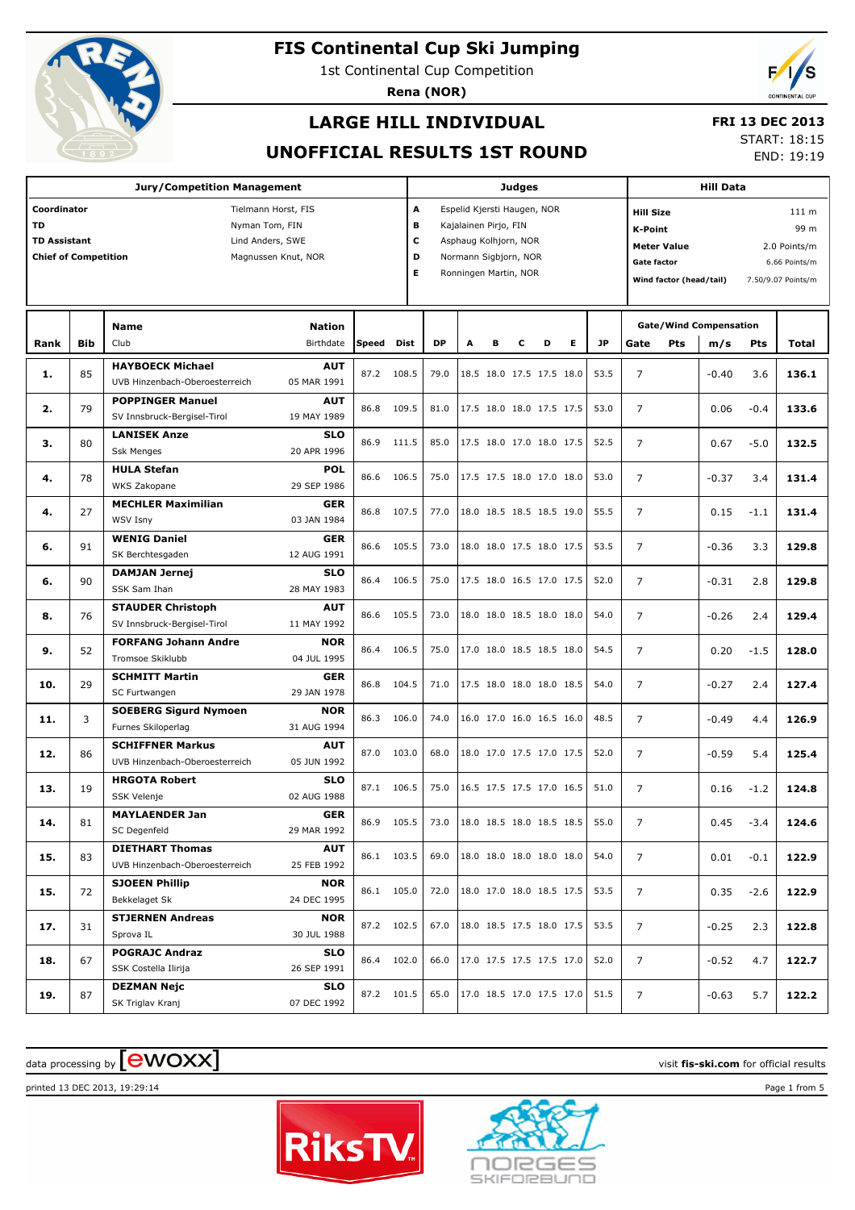

1st Continental Cup Competition

**Rena (NOR)**



## **LARGE HILL INDIVIDUAL**

### **FRI 13 DEC 2013**

### **UNOFFICIAL RESULTS 1ST ROUND**

START: 18:15

END: 19:19

|                                                                                |            |                                                                                                      |              | <b>Judges</b>         |           |                                                                                                                                 |   |   |                          |   |           | <b>Hill Data</b>                                                                                                                                          |     |                                      |        |       |  |
|--------------------------------------------------------------------------------|------------|------------------------------------------------------------------------------------------------------|--------------|-----------------------|-----------|---------------------------------------------------------------------------------------------------------------------------------|---|---|--------------------------|---|-----------|-----------------------------------------------------------------------------------------------------------------------------------------------------------|-----|--------------------------------------|--------|-------|--|
| Coordinator<br><b>TD</b><br><b>TD Assistant</b><br><b>Chief of Competition</b> |            | Tielmann Horst, FIS<br>Nyman Tom, FIN<br>Lind Anders, SWE<br>Magnussen Knut, NOR                     |              | A<br>в<br>C<br>D<br>Е |           | Espelid Kjersti Haugen, NOR<br>Kajalainen Pirjo, FIN<br>Asphaug Kolhjorn, NOR<br>Normann Sigbjorn, NOR<br>Ronningen Martin, NOR |   |   |                          |   |           | <b>Hill Size</b><br>K-Point<br><b>Meter Value</b><br>2.0 Points/m<br><b>Gate factor</b><br>6.66 Points/m<br>Wind factor (head/tail)<br>7.50/9.07 Points/m |     |                                      |        |       |  |
| Rank                                                                           | <b>Bib</b> | <b>Nation</b><br>Name<br>Club<br>Birthdate                                                           | <b>Speed</b> | <b>Dist</b>           | <b>DP</b> | A                                                                                                                               | в | С | D                        | Е | <b>JP</b> | Gate                                                                                                                                                      | Pts | <b>Gate/Wind Compensation</b><br>m/s | Pts    | Total |  |
| 1.                                                                             | 85         | <b>HAYBOECK Michael</b><br><b>AUT</b><br>UVB Hinzenbach-Oberoesterreich<br>05 MAR 1991               | 87.2         | 108.5                 | 79.0      |                                                                                                                                 |   |   | 18.5 18.0 17.5 17.5 18.0 |   | 53.5      | $\overline{7}$                                                                                                                                            |     | $-0.40$                              | 3.6    | 136.1 |  |
| 2.                                                                             | 79         | <b>POPPINGER Manuel</b><br><b>AUT</b><br>SV Innsbruck-Bergisel-Tirol<br>19 MAY 1989                  | 86.8         | 109.5                 | 81.0      |                                                                                                                                 |   |   | 17.5 18.0 18.0 17.5 17.5 |   | 53.0      | $\overline{7}$                                                                                                                                            |     | 0.06                                 | $-0.4$ | 133.6 |  |
| з.                                                                             | 80         | <b>LANISEK Anze</b><br><b>SLO</b><br><b>Ssk Menges</b><br>20 APR 1996                                | 86.9         | 111.5                 | 85.0      |                                                                                                                                 |   |   | 17.5 18.0 17.0 18.0 17.5 |   | 52.5      | $\overline{7}$                                                                                                                                            |     | 0.67                                 | $-5.0$ | 132.5 |  |
| 4.                                                                             | 78         | <b>HULA Stefan</b><br><b>POL</b><br>WKS Zakopane<br>29 SEP 1986                                      | 86.6         | 106.5                 | 75.0      |                                                                                                                                 |   |   | 17.5 17.5 18.0 17.0 18.0 |   | 53.0      | $\overline{7}$                                                                                                                                            |     | $-0.37$                              | 3.4    | 131.4 |  |
| 4.                                                                             | 27         | <b>MECHLER Maximilian</b><br><b>GER</b><br><b>WSV Isny</b><br>03 JAN 1984                            | 86.8         | 107.5                 | 77.0      |                                                                                                                                 |   |   | 18.0 18.5 18.5 18.5 19.0 |   | 55.5      | $\overline{7}$                                                                                                                                            |     | 0.15                                 | $-1.1$ | 131.4 |  |
| 6.                                                                             | 91         | <b>WENIG Daniel</b><br><b>GER</b><br>SK Berchtesgaden<br>12 AUG 1991                                 | 86.6         | 105.5                 | 73.0      |                                                                                                                                 |   |   | 18.0 18.0 17.5 18.0 17.5 |   | 53.5      | $\overline{7}$                                                                                                                                            |     | $-0.36$                              | 3.3    | 129.8 |  |
| 6.                                                                             | 90         | <b>DAMJAN Jernei</b><br><b>SLO</b><br>SSK Sam Ihan<br>28 MAY 1983                                    | 86.4         | 106.5                 | 75.0      |                                                                                                                                 |   |   | 17.5 18.0 16.5 17.0 17.5 |   | 52.0      | $\overline{7}$                                                                                                                                            |     | $-0.31$                              | 2.8    | 129.8 |  |
| 8.                                                                             | 76         | <b>STAUDER Christoph</b><br><b>AUT</b><br>SV Innsbruck-Bergisel-Tirol<br>11 MAY 1992                 | 86.6         | 105.5                 | 73.0      |                                                                                                                                 |   |   | 18.0 18.0 18.5 18.0 18.0 |   | 54.0      | $\overline{7}$                                                                                                                                            |     | $-0.26$                              | 2.4    | 129.4 |  |
| 9.                                                                             | 52         | <b>FORFANG Johann Andre</b><br><b>NOR</b><br>Tromsoe Skiklubb<br>04 JUL 1995                         | 86.4         | 106.5                 | 75.0      |                                                                                                                                 |   |   | 17.0 18.0 18.5 18.5 18.0 |   | 54.5      | $\overline{7}$                                                                                                                                            |     | 0.20                                 | $-1.5$ | 128.0 |  |
| 10.                                                                            | 29         | <b>SCHMITT Martin</b><br><b>GER</b><br>SC Furtwangen<br>29 JAN 1978                                  | 86.8         | 104.5                 | 71.0      |                                                                                                                                 |   |   | 17.5 18.0 18.0 18.0 18.5 |   | 54.0      | $\overline{7}$                                                                                                                                            |     | $-0.27$                              | 2.4    | 127.4 |  |
| 11.                                                                            | 3          | <b>SOEBERG Sigurd Nymoen</b><br><b>NOR</b><br>Furnes Skiloperlag<br>31 AUG 1994                      | 86.3         | 106.0                 | 74.0      |                                                                                                                                 |   |   | 16.0 17.0 16.0 16.5 16.0 |   | 48.5      | $\overline{7}$                                                                                                                                            |     | $-0.49$                              | 4.4    | 126.9 |  |
| 12.                                                                            | 86         | <b>SCHIFFNER Markus</b><br><b>AUT</b><br>UVB Hinzenbach-Oberoesterreich<br>05 JUN 1992<br><b>SLO</b> | 87.0         | 103.0                 | 68.0      |                                                                                                                                 |   |   | 18.0 17.0 17.5 17.0 17.5 |   | 52.0      | $\overline{7}$                                                                                                                                            |     | $-0.59$                              | 5.4    | 125.4 |  |
| 13.                                                                            | 19         | <b>HRGOTA Robert</b><br>02 AUG 1988<br>SSK Velenje<br><b>GER</b>                                     | 87.1         | 106.5                 | 75.0      |                                                                                                                                 |   |   | 16.5 17.5 17.5 17.0 16.5 |   | 51.0      | $\overline{7}$                                                                                                                                            |     | 0.16                                 | $-1.2$ | 124.8 |  |
| 14.                                                                            | 81         | <b>MAYLAENDER Jan</b><br>SC Degenfeld<br>29 MAR 1992<br><b>DIETHART Thomas</b><br><b>AUT</b>         | 86.9         | 105.5                 | 73.0      |                                                                                                                                 |   |   | 18.0 18.5 18.0 18.5 18.5 |   | 55.0      | 7                                                                                                                                                         |     | 0.45                                 | $-3.4$ | 124.6 |  |
| 15.                                                                            | 83         | UVB Hinzenbach-Oberoesterreich<br>25 FEB 1992                                                        |              | 86.1 103.5            | 69.0      |                                                                                                                                 |   |   | 18.0 18.0 18.0 18.0 18.0 |   | 54.0      | 7                                                                                                                                                         |     | 0.01                                 | $-0.1$ | 122.9 |  |
| 15.                                                                            | 72         | <b>SJOEEN Phillip</b><br><b>NOR</b><br>Bekkelaget Sk<br>24 DEC 1995                                  |              | 86.1 105.0            | 72.0      |                                                                                                                                 |   |   | 18.0 17.0 18.0 18.5 17.5 |   | 53.5      | 7                                                                                                                                                         |     | 0.35                                 | $-2.6$ | 122.9 |  |
| 17.                                                                            | 31         | <b>STJERNEN Andreas</b><br><b>NOR</b><br>Sprova IL<br>30 JUL 1988                                    |              | 87.2 102.5            | 67.0      |                                                                                                                                 |   |   | 18.0 18.5 17.5 18.0 17.5 |   | 53.5      | 7                                                                                                                                                         |     | $-0.25$                              | 2.3    | 122.8 |  |
| 18.                                                                            | 67         | <b>POGRAJC Andraz</b><br><b>SLO</b><br>SSK Costella Ilirija<br>26 SEP 1991                           |              | 86.4 102.0            | 66.0      |                                                                                                                                 |   |   | 17.0 17.5 17.5 17.5 17.0 |   | 52.0      | 7                                                                                                                                                         |     | $-0.52$                              | 4.7    | 122.7 |  |
| 19.                                                                            | 87         | <b>DEZMAN Nejc</b><br><b>SLO</b><br>SK Triglav Kranj<br>07 DEC 1992                                  |              | 87.2 101.5            | 65.0      |                                                                                                                                 |   |   | 17.0 18.5 17.0 17.5 17.0 |   | 51.5      | 7                                                                                                                                                         |     | $-0.63$                              | 5.7    | 122.2 |  |

# data processing by **CWOXX** and  $\overline{C}$  and  $\overline{C}$  and  $\overline{C}$  and  $\overline{C}$  and  $\overline{C}$  and  $\overline{C}$  and  $\overline{C}$  and  $\overline{C}$  and  $\overline{C}$  and  $\overline{C}$  and  $\overline{C}$  and  $\overline{C}$  and  $\overline{C}$  and  $\overline{C}$  and  $\overline{C}$

printed 13 DEC 2013, 19:29:14 Page 1 from 5



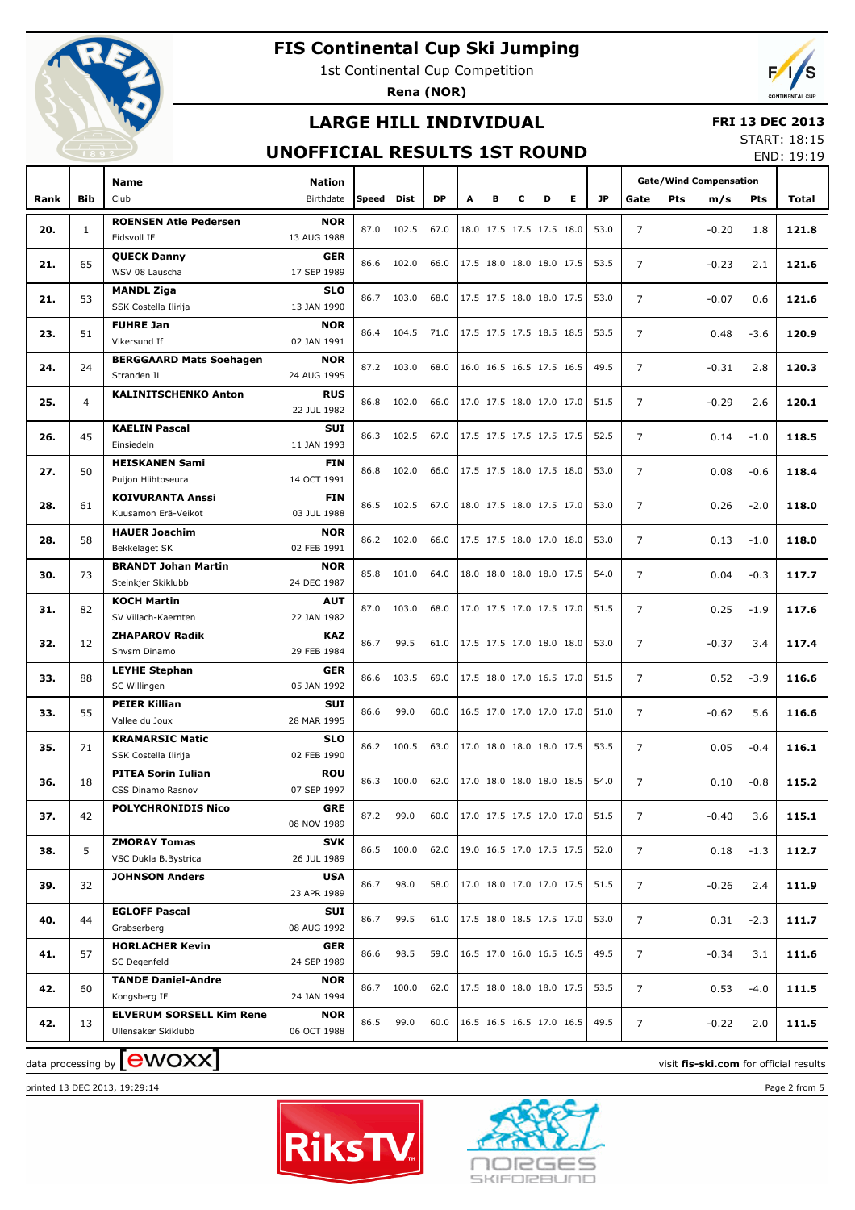

1st Continental Cup Competition

**Rena (NOR)**



## **LARGE HILL INDIVIDUAL**

#### **FRI 13 DEC 2013**

### **UNOFFICIAL RESULTS 1ST ROUND**

START: 18:15 END: 19:19

|      |                | Name                                                   | <b>Nation</b>             |       |            |           |   |                          |   |   |    |           | <b>Gate/Wind Compensation</b> |         |        |                                        |
|------|----------------|--------------------------------------------------------|---------------------------|-------|------------|-----------|---|--------------------------|---|---|----|-----------|-------------------------------|---------|--------|----------------------------------------|
| Rank | <b>Bib</b>     | Club                                                   | Birthdate                 | Speed | Dist       | <b>DP</b> | А | в                        | c | D | E. | <b>JP</b> | Pts<br>Gate                   | m/s     | Pts    | Total                                  |
| 20.  | $\mathbf{1}$   | <b>ROENSEN Atle Pedersen</b><br>Eidsvoll IF            | <b>NOR</b><br>13 AUG 1988 | 87.0  | 102.5      | 67.0      |   | 18.0 17.5 17.5 17.5 18.0 |   |   |    | 53.0      | $\overline{7}$                | $-0.20$ | 1.8    | 121.8                                  |
| 21.  | 65             | <b>QUECK Danny</b><br>WSV 08 Lauscha                   | <b>GER</b><br>17 SEP 1989 |       | 86.6 102.0 | 66.0      |   | 17.5 18.0 18.0 18.0 17.5 |   |   |    | 53.5      | $\overline{7}$                | $-0.23$ | 2.1    | 121.6                                  |
| 21.  | 53             | <b>MANDL Ziga</b>                                      | <b>SLO</b>                | 86.7  | 103.0      | 68.0      |   | 17.5 17.5 18.0 18.0 17.5 |   |   |    | 53.0      | 7                             | $-0.07$ | 0.6    | 121.6                                  |
| 23.  | 51             | SSK Costella Ilirija<br><b>FUHRE Jan</b>               | 13 JAN 1990<br><b>NOR</b> | 86.4  | 104.5      | 71.0      |   | 17.5 17.5 17.5 18.5 18.5 |   |   |    | 53.5      | $\overline{7}$                | 0.48    | $-3.6$ | 120.9                                  |
|      |                | Vikersund If                                           | 02 JAN 1991               |       |            |           |   |                          |   |   |    |           |                               |         |        |                                        |
| 24.  | 24             | <b>BERGGAARD Mats Soehagen</b><br>Stranden IL          | <b>NOR</b><br>24 AUG 1995 |       | 87.2 103.0 | 68.0      |   | 16.0 16.5 16.5 17.5 16.5 |   |   |    | 49.5      | $\overline{7}$                | $-0.31$ | 2.8    | 120.3                                  |
| 25.  | $\overline{4}$ | <b>KALINITSCHENKO Anton</b>                            | <b>RUS</b><br>22 JUL 1982 |       | 86.8 102.0 | 66.0      |   | 17.0 17.5 18.0 17.0 17.0 |   |   |    | 51.5      | $\overline{7}$                | $-0.29$ | 2.6    | 120.1                                  |
| 26.  | 45             | <b>KAELIN Pascal</b>                                   | SUI                       | 86.3  | 102.5      | 67.0      |   | 17.5 17.5 17.5 17.5 17.5 |   |   |    | 52.5      | $\overline{7}$                | 0.14    | $-1.0$ | 118.5                                  |
|      |                | Einsiedeln                                             | 11 JAN 1993               |       |            |           |   |                          |   |   |    |           |                               |         |        |                                        |
| 27.  | 50             | <b>HEISKANEN Sami</b><br>Puijon Hiihtoseura            | <b>FIN</b><br>14 OCT 1991 |       | 86.8 102.0 | 66.0      |   | 17.5 17.5 18.0 17.5 18.0 |   |   |    | 53.0      | $\overline{7}$                | 0.08    | $-0.6$ | 118.4                                  |
| 28.  | 61             | <b>KOIVURANTA Anssi</b><br>Kuusamon Erä-Veikot         | <b>FIN</b><br>03 JUL 1988 |       | 86.5 102.5 | 67.0      |   | 18.0 17.5 18.0 17.5 17.0 |   |   |    | 53.0      | $\overline{7}$                | 0.26    | $-2.0$ | 118.0                                  |
| 28.  | 58             | <b>HAUER Joachim</b><br>Bekkelaget SK                  | <b>NOR</b><br>02 FEB 1991 |       | 86.2 102.0 | 66.0      |   | 17.5 17.5 18.0 17.0 18.0 |   |   |    | 53.0      | 7                             | 0.13    | $-1.0$ | 118.0                                  |
| 30.  | 73             | <b>BRANDT Johan Martin</b>                             | <b>NOR</b>                |       | 85.8 101.0 | 64.0      |   | 18.0 18.0 18.0 18.0 17.5 |   |   |    | 54.0      | 7                             | 0.04    | $-0.3$ | 117.7                                  |
| 31.  | 82             | Steinkjer Skiklubb<br><b>KOCH Martin</b>               | 24 DEC 1987<br><b>AUT</b> | 87.0  | 103.0      | 68.0      |   | 17.0 17.5 17.0 17.5 17.0 |   |   |    | 51.5      | $\overline{7}$                | 0.25    | $-1.9$ | 117.6                                  |
|      |                | SV Villach-Kaernten<br><b>ZHAPAROV Radik</b>           | 22 JAN 1982<br><b>KAZ</b> |       |            |           |   |                          |   |   |    |           |                               |         |        |                                        |
| 32.  | 12             | Shvsm Dinamo                                           | 29 FEB 1984               | 86.7  | 99.5       | 61.0      |   | 17.5 17.5 17.0 18.0 18.0 |   |   |    | 53.0      | $\overline{7}$                | $-0.37$ | 3.4    | 117.4                                  |
| 33.  | 88             | <b>LEYHE Stephan</b><br>SC Willingen                   | <b>GER</b><br>05 JAN 1992 | 86.6  | 103.5      | 69.0      |   | 17.5 18.0 17.0 16.5 17.0 |   |   |    | 51.5      | $\overline{7}$                | 0.52    | $-3.9$ | 116.6                                  |
| 33.  | 55             | <b>PEIER Killian</b><br>Vallee du Joux                 | SUI<br>28 MAR 1995        | 86.6  | 99.0       | 60.0      |   | 16.5 17.0 17.0 17.0 17.0 |   |   |    | 51.0      | 7                             | $-0.62$ | 5.6    | 116.6                                  |
| 35.  | 71             | <b>KRAMARSIC Matic</b><br>SSK Costella Ilirija         | <b>SLO</b><br>02 FEB 1990 | 86.2  | 100.5      | 63.0      |   | 17.0 18.0 18.0 18.0 17.5 |   |   |    | 53.5      | $\overline{7}$                | 0.05    | $-0.4$ | 116.1                                  |
|      |                | <b>PITEA Sorin Iulian</b>                              | <b>ROU</b>                |       |            |           |   |                          |   |   |    |           |                               |         |        |                                        |
| 36.  | 18             | CSS Dinamo Rasnov                                      | 07 SEP 1997               | 86.3  | 100.0      | 62.0      |   | 17.0 18.0 18.0 18.0 18.5 |   |   |    | 54.0      | $\overline{7}$                | 0.10    | $-0.8$ | 115.2                                  |
| 37.  | 42             | <b>POLYCHRONIDIS Nico</b>                              | GRE<br>08 NOV 1989        | 87.2  | 99.0       | 60.0      |   | 17.0 17.5 17.5 17.0 17.0 |   |   |    | 51.5      | 7                             | $-0.40$ | 3.6    | 115.1                                  |
| 38.  | 5              | <b>ZMORAY Tomas</b><br>VSC Dukla B.Bystrica            | <b>SVK</b><br>26 JUL 1989 |       | 86.5 100.0 | 62.0      |   | 19.0 16.5 17.0 17.5 17.5 |   |   |    | 52.0      | 7                             | 0.18    | $-1.3$ | 112.7                                  |
| 39.  | 32             | <b>JOHNSON Anders</b>                                  | USA<br>23 APR 1989        | 86.7  | 98.0       | 58.0      |   | 17.0 18.0 17.0 17.0 17.5 |   |   |    | 51.5      | 7                             | $-0.26$ | 2.4    | 111.9                                  |
| 40.  | 44             | <b>EGLOFF Pascal</b>                                   | SUI                       | 86.7  | 99.5       | 61.0      |   | 17.5 18.0 18.5 17.5 17.0 |   |   |    | 53.0      | 7                             | 0.31    | $-2.3$ | 111.7                                  |
|      | 57             | Grabserberg<br><b>HORLACHER Kevin</b>                  | 08 AUG 1992<br><b>GER</b> | 86.6  | 98.5       | 59.0      |   | 16.5 17.0 16.0 16.5 16.5 |   |   |    | 49.5      | $\overline{7}$                |         |        |                                        |
| 41.  |                | SC Degenfeld<br><b>TANDE Daniel-Andre</b>              | 24 SEP 1989<br><b>NOR</b> |       |            |           |   |                          |   |   |    |           |                               | $-0.34$ | 3.1    | 111.6                                  |
| 42.  | 60             | Kongsberg IF                                           | 24 JAN 1994               |       | 86.7 100.0 | 62.0      |   | 17.5 18.0 18.0 18.0 17.5 |   |   |    | 53.5      | 7                             | 0.53    | $-4.0$ | 111.5                                  |
| 42.  | 13             | <b>ELVERUM SORSELL Kim Rene</b><br>Ullensaker Skiklubb | <b>NOR</b><br>06 OCT 1988 | 86.5  | 99.0       | 60.0      |   | 16.5 16.5 16.5 17.0 16.5 |   |   |    | 49.5      | 7                             | $-0.22$ | 2.0    | 111.5                                  |
|      |                | data processing by <b>[CWOXX]</b>                      |                           |       |            |           |   |                          |   |   |    |           |                               |         |        | visit fis-ski.com for official results |

printed 13 DEC 2013, 19:29:14 Page 2 from 5



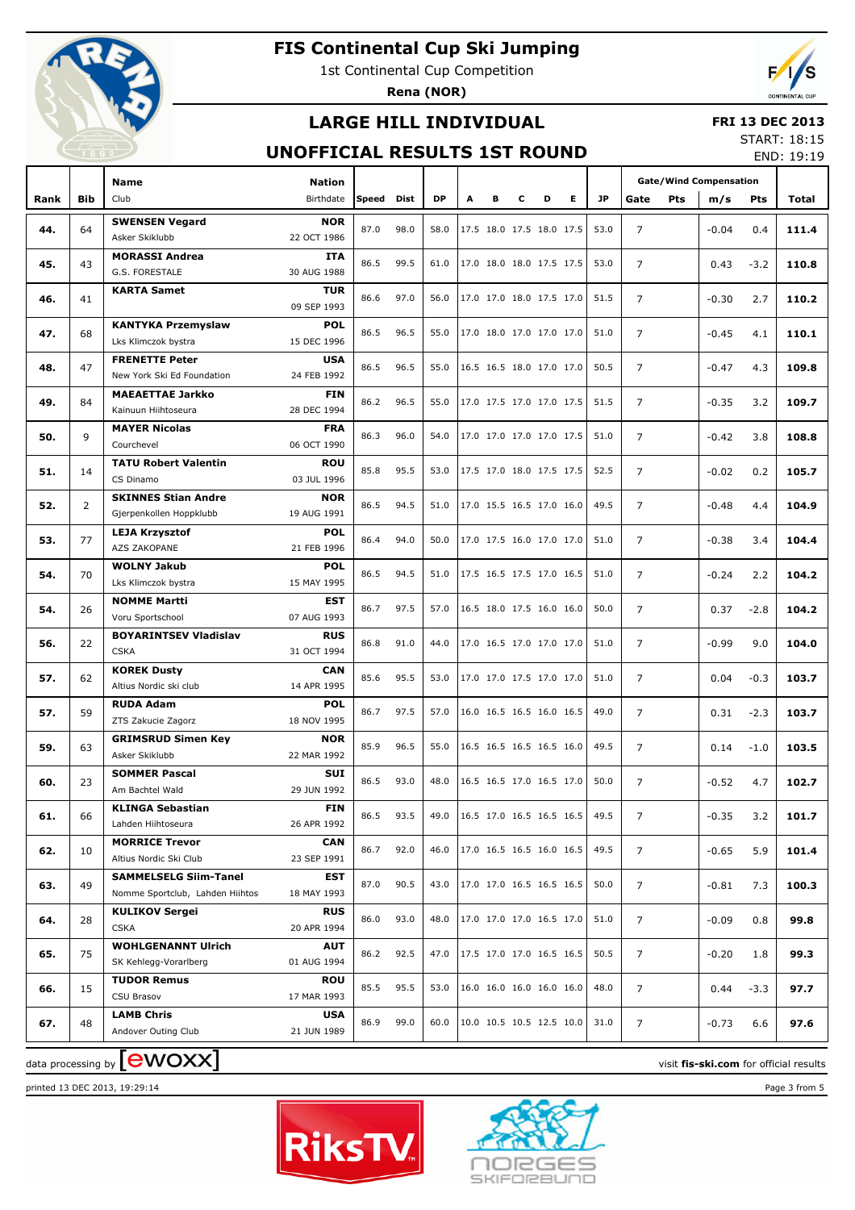

1st Continental Cup Competition

**Rena (NOR)**



## **LARGE HILL INDIVIDUAL**

#### **FRI 13 DEC 2013**

### **UNOFFICIAL RESULTS 1ST ROUND**

START: 18:15 END: 19:19

|      |            | Name                                             | <b>Nation</b>             |       |      |           |   |   |                          |   |   |      | <b>Gate/Wind Compensation</b> |     |         |        |       |
|------|------------|--------------------------------------------------|---------------------------|-------|------|-----------|---|---|--------------------------|---|---|------|-------------------------------|-----|---------|--------|-------|
| Rank | <b>Bib</b> | Club                                             | Birthdate                 | Speed | Dist | <b>DP</b> | A | в | c                        | D | Е | JP   | Gate                          | Pts | m/s     | Pts    | Total |
|      |            | <b>SWENSEN Vegard</b>                            | <b>NOR</b>                |       |      |           |   |   |                          |   |   |      |                               |     |         |        |       |
| 44.  | 64         | Asker Skiklubb                                   | 22 OCT 1986               | 87.0  | 98.0 | 58.0      |   |   | 17.5 18.0 17.5 18.0 17.5 |   |   | 53.0 | $\overline{7}$                |     | $-0.04$ | 0.4    | 111.4 |
| 45.  | 43         | <b>MORASSI Andrea</b>                            | <b>ITA</b>                | 86.5  | 99.5 | 61.0      |   |   | 17.0 18.0 18.0 17.5 17.5 |   |   | 53.0 | $\overline{7}$                |     | 0.43    | $-3.2$ | 110.8 |
|      |            | G.S. FORESTALE                                   | 30 AUG 1988               |       |      |           |   |   |                          |   |   |      |                               |     |         |        |       |
| 46.  | 41         | <b>KARTA Samet</b>                               | <b>TUR</b>                | 86.6  | 97.0 | 56.0      |   |   | 17.0 17.0 18.0 17.5 17.0 |   |   | 51.5 | $\overline{7}$                |     | $-0.30$ | 2.7    | 110.2 |
|      |            |                                                  | 09 SEP 1993               |       |      |           |   |   |                          |   |   |      |                               |     |         |        |       |
| 47.  | 68         | <b>KANTYKA Przemyslaw</b><br>Lks Klimczok bystra | <b>POL</b><br>15 DEC 1996 | 86.5  | 96.5 | 55.0      |   |   | 17.0 18.0 17.0 17.0 17.0 |   |   | 51.0 | $\overline{7}$                |     | $-0.45$ | 4.1    | 110.1 |
|      |            | <b>FRENETTE Peter</b>                            | <b>USA</b>                |       |      |           |   |   |                          |   |   |      |                               |     |         |        |       |
| 48.  | 47         | New York Ski Ed Foundation                       | 24 FEB 1992               | 86.5  | 96.5 | 55.0      |   |   | 16.5 16.5 18.0 17.0 17.0 |   |   | 50.5 | $\overline{7}$                |     | $-0.47$ | 4.3    | 109.8 |
|      |            | <b>MAEAETTAE Jarkko</b>                          | <b>FIN</b>                |       |      |           |   |   |                          |   |   |      |                               |     |         |        |       |
| 49.  | 84         | Kainuun Hiihtoseura                              | 28 DEC 1994               | 86.2  | 96.5 | 55.0      |   |   | 17.0 17.5 17.0 17.0 17.5 |   |   | 51.5 | $\overline{7}$                |     | $-0.35$ | 3.2    | 109.7 |
|      |            | <b>MAYER Nicolas</b>                             | <b>FRA</b>                |       |      |           |   |   |                          |   |   |      |                               |     |         |        |       |
| 50.  | 9          | Courchevel                                       | 06 OCT 1990               | 86.3  | 96.0 | 54.0      |   |   | 17.0 17.0 17.0 17.0 17.5 |   |   | 51.0 | $\overline{7}$                |     | $-0.42$ | 3.8    | 108.8 |
| 51.  | 14         | <b>TATU Robert Valentin</b>                      | <b>ROU</b>                | 85.8  | 95.5 | 53.0      |   |   | 17.5 17.0 18.0 17.5 17.5 |   |   | 52.5 | $\overline{7}$                |     | $-0.02$ | 0.2    | 105.7 |
|      |            | CS Dinamo                                        | 03 JUL 1996               |       |      |           |   |   |                          |   |   |      |                               |     |         |        |       |
| 52.  | 2          | <b>SKINNES Stian Andre</b>                       | <b>NOR</b>                | 86.5  | 94.5 | 51.0      |   |   | 17.0 15.5 16.5 17.0 16.0 |   |   | 49.5 | $\overline{7}$                |     | $-0.48$ | 4.4    | 104.9 |
|      |            | Gjerpenkollen Hoppklubb                          | 19 AUG 1991               |       |      |           |   |   |                          |   |   |      |                               |     |         |        |       |
| 53.  | 77         | <b>LEJA Krzysztof</b>                            | <b>POL</b>                | 86.4  | 94.0 | 50.0      |   |   | 17.0 17.5 16.0 17.0 17.0 |   |   | 51.0 | $\overline{7}$                |     | $-0.38$ | 3.4    | 104.4 |
|      |            | AZS ZAKOPANE<br><b>WOLNY Jakub</b>               | 21 FEB 1996<br><b>POL</b> |       |      |           |   |   |                          |   |   |      |                               |     |         |        |       |
| 54.  | 70         | Lks Klimczok bystra                              | 15 MAY 1995               | 86.5  | 94.5 | 51.0      |   |   | 17.5 16.5 17.5 17.0 16.5 |   |   | 51.0 | $\overline{7}$                |     | $-0.24$ | 2.2    | 104.2 |
|      |            | <b>NOMME Martti</b>                              | <b>EST</b>                |       |      |           |   |   |                          |   |   |      |                               |     |         |        |       |
| 54.  | 26         | Voru Sportschool                                 | 07 AUG 1993               | 86.7  | 97.5 | 57.0      |   |   | 16.5 18.0 17.5 16.0 16.0 |   |   | 50.0 | $\overline{7}$                |     | 0.37    | $-2.8$ | 104.2 |
|      |            | <b>BOYARINTSEV Vladislav</b>                     | <b>RUS</b>                |       |      |           |   |   |                          |   |   |      |                               |     |         |        |       |
| 56.  | 22         | <b>CSKA</b>                                      | 31 OCT 1994               | 86.8  | 91.0 | 44.0      |   |   | 17.0 16.5 17.0 17.0 17.0 |   |   | 51.0 | $\overline{7}$                |     | $-0.99$ | 9.0    | 104.0 |
|      | 62         | <b>KOREK Dusty</b>                               | <b>CAN</b>                | 85.6  | 95.5 | 53.0      |   |   | 17.0 17.0 17.5 17.0 17.0 |   |   | 51.0 | $\overline{7}$                |     | 0.04    |        | 103.7 |
| 57.  |            | Altius Nordic ski club                           | 14 APR 1995               |       |      |           |   |   |                          |   |   |      |                               |     |         | $-0.3$ |       |
| 57.  | 59         | <b>RUDA Adam</b>                                 | <b>POL</b>                | 86.7  | 97.5 | 57.0      |   |   | 16.0 16.5 16.5 16.0 16.5 |   |   | 49.0 | $\overline{7}$                |     | 0.31    | $-2.3$ | 103.7 |
|      |            | ZTS Zakucie Zagorz                               | 18 NOV 1995               |       |      |           |   |   |                          |   |   |      |                               |     |         |        |       |
| 59.  | 63         | <b>GRIMSRUD Simen Key</b>                        | <b>NOR</b>                | 85.9  | 96.5 | 55.0      |   |   | 16.5 16.5 16.5 16.5 16.0 |   |   | 49.5 | $\overline{7}$                |     | 0.14    | $-1.0$ | 103.5 |
|      |            | Asker Skiklubb                                   | 22 MAR 1992               |       |      |           |   |   |                          |   |   |      |                               |     |         |        |       |
| 60.  | 23         | <b>SOMMER Pascal</b><br>Am Bachtel Wald          | <b>SUI</b><br>29 JUN 1992 | 86.5  | 93.0 | 48.0      |   |   | 16.5 16.5 17.0 16.5 17.0 |   |   | 50.0 | $\overline{7}$                |     | $-0.52$ | 4.7    | 102.7 |
|      |            | <b>KLINGA Sebastian</b>                          | <b>FIN</b>                |       |      |           |   |   |                          |   |   |      |                               |     |         |        |       |
| 61.  | 66         | Lahden Hiihtoseura                               | 26 APR 1992               | 86.5  | 93.5 | 49.0      |   |   | 16.5 17.0 16.5 16.5 16.5 |   |   | 49.5 | $\overline{7}$                |     | $-0.35$ | 3.2    | 101.7 |
|      |            | <b>MORRICE Trevor</b>                            | <b>CAN</b>                |       |      |           |   |   |                          |   |   |      |                               |     |         |        |       |
| 62.  | 10         | Altius Nordic Ski Club                           | 23 SEP 1991               | 86.7  | 92.0 | 46.0      |   |   | 17.0 16.5 16.5 16.0 16.5 |   |   | 49.5 | $\overline{7}$                |     | $-0.65$ | 5.9    | 101.4 |
| 63.  | 49         | <b>SAMMELSELG Siim-Tanel</b>                     | EST                       | 87.0  | 90.5 | 43.0      |   |   | 17.0 17.0 16.5 16.5 16.5 |   |   | 50.0 | $\overline{7}$                |     | $-0.81$ | 7.3    | 100.3 |
|      |            | Nomme Sportclub, Lahden Hiihtos                  | 18 MAY 1993               |       |      |           |   |   |                          |   |   |      |                               |     |         |        |       |
| 64.  | 28         | <b>KULIKOV Sergei</b><br><b>CSKA</b>             | <b>RUS</b><br>20 APR 1994 | 86.0  | 93.0 | 48.0      |   |   | 17.0 17.0 17.0 16.5 17.0 |   |   | 51.0 | $\overline{7}$                |     | $-0.09$ | 0.8    | 99.8  |
|      |            | <b>WOHLGENANNT Ulrich</b>                        | <b>AUT</b>                |       |      |           |   |   |                          |   |   |      |                               |     |         |        |       |
| 65.  | 75         | SK Kehlegg-Vorarlberg                            | 01 AUG 1994               | 86.2  | 92.5 | 47.0      |   |   | 17.5 17.0 17.0 16.5 16.5 |   |   | 50.5 | $\overline{7}$                |     | $-0.20$ | 1.8    | 99.3  |
|      |            | <b>TUDOR Remus</b>                               | <b>ROU</b>                |       | 95.5 |           |   |   |                          |   |   | 48.0 |                               |     |         |        |       |
| 66.  | 15         | CSU Brasov                                       | 17 MAR 1993               | 85.5  |      | 53.0      |   |   | 16.0 16.0 16.0 16.0 16.0 |   |   |      | $\overline{7}$                |     | 0.44    | $-3.3$ | 97.7  |
| 67.  | 48         | <b>LAMB Chris</b>                                | <b>USA</b>                | 86.9  | 99.0 | 60.0      |   |   | 10.0 10.5 10.5 12.5 10.0 |   |   | 31.0 | $\overline{7}$                |     | $-0.73$ | 6.6    | 97.6  |
|      |            | Andover Outing Club                              | 21 JUN 1989               |       |      |           |   |   |                          |   |   |      |                               |     |         |        |       |

printed 13 DEC 2013, 19:29:14 Page 3 from 5





data processing by **CWOXX** and  $\overline{C}$  and  $\overline{C}$  and  $\overline{C}$  and  $\overline{C}$  and  $\overline{C}$  and  $\overline{C}$  and  $\overline{C}$  and  $\overline{C}$  and  $\overline{C}$  and  $\overline{C}$  and  $\overline{C}$  and  $\overline{C}$  and  $\overline{C}$  and  $\overline{C}$  and  $\overline{C}$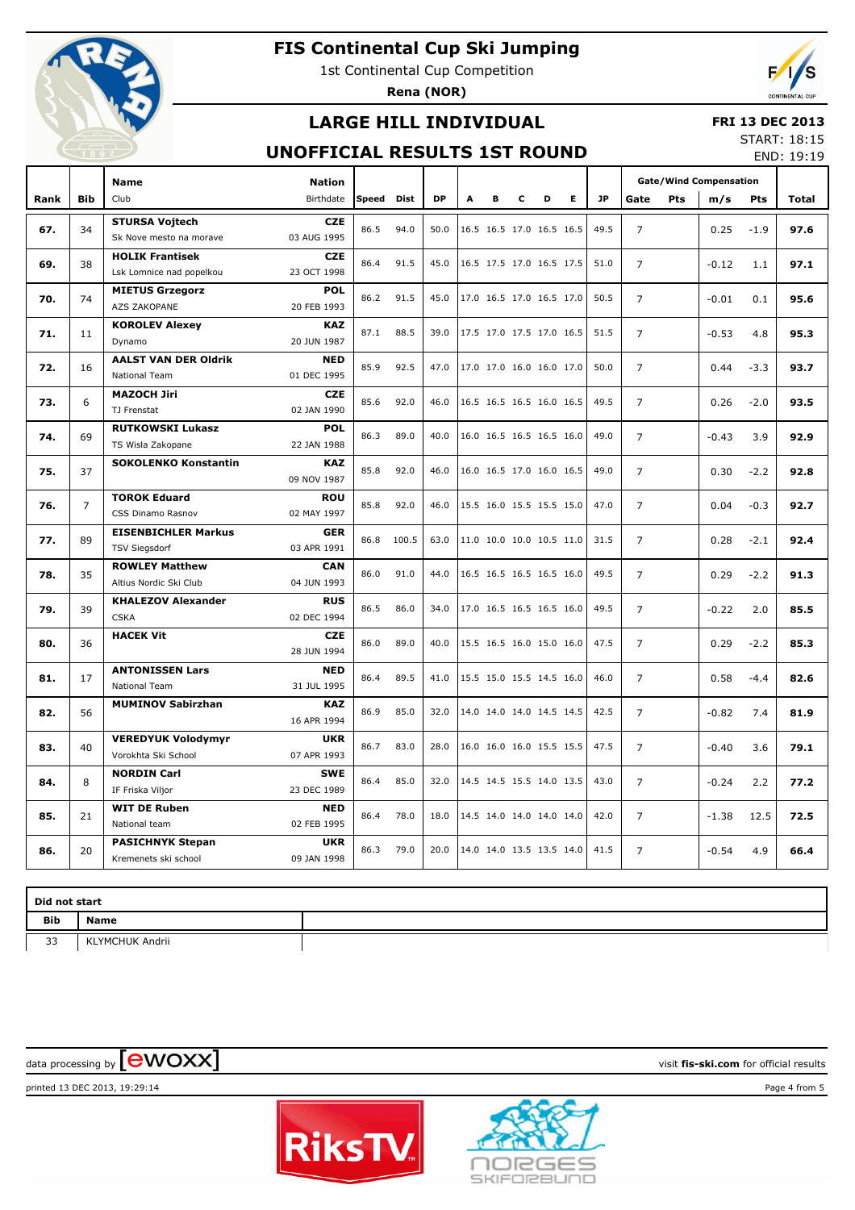

1st Continental Cup Competition

**Rena (NOR)**



## **LARGE HILL INDIVIDUAL**

#### **FRI 13 DEC 2013**

### **UNOFFICIAL RESULTS 1ST ROUND**

START: 18:15 END: 19:19

|      |                | <b>Name</b>                                  | <b>Nation</b>             |       |       |           |   |   |   |                          |    |           |                | <b>Gate/Wind Compensation</b> |         |        |       |  |
|------|----------------|----------------------------------------------|---------------------------|-------|-------|-----------|---|---|---|--------------------------|----|-----------|----------------|-------------------------------|---------|--------|-------|--|
| Rank | <b>Bib</b>     | Club                                         | Birthdate                 | Speed | Dist  | <b>DP</b> | A | в | c | D                        | E. | <b>JP</b> | Gate           | <b>Pts</b>                    | m/s     | Pts    | Total |  |
|      |                | <b>STURSA Voitech</b>                        | <b>CZE</b>                | 86.5  | 94.0  | 50.0      |   |   |   | 16.5 16.5 17.0 16.5 16.5 |    | 49.5      | $\overline{7}$ |                               |         |        |       |  |
| 67.  | 34             | Sk Nove mesto na morave                      | 03 AUG 1995               |       |       |           |   |   |   |                          |    |           |                |                               | 0.25    | $-1.9$ | 97.6  |  |
| 69.  | 38             | <b>HOLIK Frantisek</b>                       | <b>CZE</b>                | 86.4  | 91.5  | 45.0      |   |   |   | 16.5 17.5 17.0 16.5 17.5 |    | 51.0      | $\overline{7}$ |                               | $-0.12$ | 1.1    | 97.1  |  |
|      |                | Lsk Lomnice nad popelkou                     | 23 OCT 1998               |       |       |           |   |   |   |                          |    |           |                |                               |         |        |       |  |
| 70.  | 74             | <b>MIETUS Grzegorz</b>                       | <b>POL</b>                | 86.2  | 91.5  | 45.0      |   |   |   | 17.0 16.5 17.0 16.5 17.0 |    | 50.5      | $\overline{7}$ |                               | $-0.01$ | 0.1    | 95.6  |  |
|      |                | AZS ZAKOPANE                                 | 20 FEB 1993               |       |       |           |   |   |   |                          |    |           |                |                               |         |        |       |  |
| 71.  | 11             | <b>KOROLEV Alexey</b>                        | <b>KAZ</b>                | 87.1  | 88.5  | 39.0      |   |   |   | 17.5 17.0 17.5 17.0 16.5 |    | 51.5      | $\overline{7}$ |                               | $-0.53$ | 4.8    | 95.3  |  |
|      |                | Dynamo                                       | 20 JUN 1987               |       |       |           |   |   |   |                          |    |           |                |                               |         |        |       |  |
| 72.  | 16             | <b>AALST VAN DER Oldrik</b>                  | <b>NED</b>                | 85.9  | 92.5  | 47.0      |   |   |   | 17.0 17.0 16.0 16.0 17.0 |    | 50.0      | $\overline{7}$ |                               | 0.44    | $-3.3$ | 93.7  |  |
|      |                | <b>National Team</b>                         | 01 DEC 1995               |       |       |           |   |   |   |                          |    |           |                |                               |         |        |       |  |
| 73.  | 6              | <b>MAZOCH Jiri</b>                           | <b>CZE</b>                | 85.6  | 92.0  | 46.0      |   |   |   | 16.5 16.5 16.5 16.0 16.5 |    | 49.5      | $\overline{7}$ |                               | 0.26    | $-2.0$ | 93.5  |  |
|      |                | TJ Frenstat                                  | 02 JAN 1990               |       |       |           |   |   |   |                          |    |           |                |                               |         |        |       |  |
| 74.  | 69             | <b>RUTKOWSKI Lukasz</b><br>TS Wisla Zakopane | <b>POL</b><br>22 JAN 1988 | 86.3  | 89.0  | 40.0      |   |   |   | 16.0 16.5 16.5 16.5 16.0 |    | 49.0      | $\overline{7}$ |                               | $-0.43$ | 3.9    | 92.9  |  |
|      |                | <b>SOKOLENKO Konstantin</b>                  | <b>KAZ</b>                |       |       |           |   |   |   |                          |    |           |                |                               |         |        |       |  |
| 75.  | 37             |                                              | 09 NOV 1987               | 85.8  | 92.0  | 46.0      |   |   |   | 16.0 16.5 17.0 16.0 16.5 |    | 49.0      | $\overline{7}$ |                               | 0.30    | $-2.2$ | 92.8  |  |
| 76.  | $\overline{7}$ | <b>TOROK Eduard</b>                          | <b>ROU</b>                | 85.8  | 92.0  | 46.0      |   |   |   | 15.5 16.0 15.5 15.5 15.0 |    | 47.0      | $\overline{7}$ |                               | 0.04    | $-0.3$ | 92.7  |  |
|      |                | CSS Dinamo Rasnov                            | 02 MAY 1997               |       |       |           |   |   |   |                          |    |           |                |                               |         |        |       |  |
| 77.  | 89             | <b>EISENBICHLER Markus</b>                   | <b>GER</b>                | 86.8  | 100.5 | 63.0      |   |   |   | 11.0 10.0 10.0 10.5 11.0 |    | 31.5      | $\overline{7}$ |                               | 0.28    | $-2.1$ | 92.4  |  |
|      |                | <b>TSV Siegsdorf</b>                         | 03 APR 1991               |       |       |           |   |   |   |                          |    |           |                |                               |         |        |       |  |
| 78.  | 35             | <b>ROWLEY Matthew</b>                        | <b>CAN</b>                | 86.0  | 91.0  | 44.0      |   |   |   | 16.5 16.5 16.5 16.5 16.0 |    | 49.5      | $\overline{7}$ |                               | 0.29    | $-2.2$ | 91.3  |  |
|      |                | Altius Nordic Ski Club                       | 04 JUN 1993               |       |       |           |   |   |   |                          |    |           |                |                               |         |        |       |  |
| 79.  | 39             | <b>KHALEZOV Alexander</b>                    | <b>RUS</b>                | 86.5  | 86.0  | 34.0      |   |   |   | 17.0 16.5 16.5 16.5 16.0 |    | 49.5      | $\overline{7}$ |                               | $-0.22$ | 2.0    | 85.5  |  |
|      |                | <b>CSKA</b>                                  | 02 DEC 1994               |       |       |           |   |   |   |                          |    |           |                |                               |         |        |       |  |
| 80.  | 36             | <b>HACEK Vit</b>                             | <b>CZE</b><br>28 JUN 1994 | 86.0  | 89.0  | 40.0      |   |   |   | 15.5 16.5 16.0 15.0 16.0 |    | 47.5      | $\overline{7}$ |                               | 0.29    | $-2.2$ | 85.3  |  |
|      |                | <b>ANTONISSEN Lars</b>                       | <b>NED</b>                |       |       |           |   |   |   |                          |    |           |                |                               |         |        |       |  |
| 81.  | 17             | National Team                                | 31 JUL 1995               | 86.4  | 89.5  | 41.0      |   |   |   | 15.5 15.0 15.5 14.5 16.0 |    | 46.0      | $\overline{7}$ |                               | 0.58    | $-4.4$ | 82.6  |  |
|      |                | <b>MUMINOV Sabirzhan</b>                     | <b>KAZ</b>                |       |       |           |   |   |   |                          |    |           |                |                               |         |        |       |  |
| 82.  | 56             |                                              | 16 APR 1994               | 86.9  | 85.0  | 32.0      |   |   |   | 14.0 14.0 14.0 14.5 14.5 |    | 42.5      | $\overline{7}$ |                               | $-0.82$ | 7.4    | 81.9  |  |
|      |                | <b>VEREDYUK Volodymyr</b>                    | <b>UKR</b>                |       |       |           |   |   |   |                          |    |           |                |                               |         |        |       |  |
| 83.  | 40             | Vorokhta Ski School                          | 07 APR 1993               | 86.7  | 83.0  | 28.0      |   |   |   | 16.0 16.0 16.0 15.5 15.5 |    | 47.5      | $\overline{7}$ |                               | $-0.40$ | 3.6    | 79.1  |  |
| 84.  | 8              | <b>NORDIN Carl</b>                           | <b>SWE</b>                | 86.4  | 85.0  | 32.0      |   |   |   | 14.5 14.5 15.5 14.0 13.5 |    | 43.0      | $\overline{7}$ |                               | $-0.24$ | 2.2    | 77.2  |  |
|      |                | IF Friska Viljor                             | 23 DEC 1989               |       |       |           |   |   |   |                          |    |           |                |                               |         |        |       |  |
| 85.  | 21             | <b>WIT DE Ruben</b>                          | <b>NED</b>                | 86.4  | 78.0  | 18.0      |   |   |   | 14.5 14.0 14.0 14.0 14.0 |    | 42.0      | $\overline{7}$ |                               | $-1.38$ | 12.5   | 72.5  |  |
|      |                | National team                                | 02 FEB 1995               |       |       |           |   |   |   |                          |    |           |                |                               |         |        |       |  |
| 86.  | 20             | <b>PASICHNYK Stepan</b>                      | <b>UKR</b>                | 86.3  | 79.0  | 20.0      |   |   |   | 14.0 14.0 13.5 13.5 14.0 |    | 41.5      | $\overline{7}$ |                               | $-0.54$ | 4.9    | 66.4  |  |
|      |                | Kremenets ski school                         | 09 JAN 1998               |       |       |           |   |   |   |                          |    |           |                |                               |         |        |       |  |

|     | Did not start          |  |  |  |  |  |  |  |  |  |  |  |
|-----|------------------------|--|--|--|--|--|--|--|--|--|--|--|
| Bib | Name                   |  |  |  |  |  |  |  |  |  |  |  |
| 33  | <b>KLYMCHUK Andrii</b> |  |  |  |  |  |  |  |  |  |  |  |

data processing by **CWOXX** and  $\overline{C}$  and  $\overline{C}$  and  $\overline{C}$  and  $\overline{C}$  and  $\overline{C}$  and  $\overline{C}$  and  $\overline{C}$  and  $\overline{C}$  and  $\overline{C}$  and  $\overline{C}$  and  $\overline{C}$  and  $\overline{C}$  and  $\overline{C}$  and  $\overline{C}$  and  $\overline{C}$ 

printed 13 DEC 2013, 19:29:14 Page 4 from 5